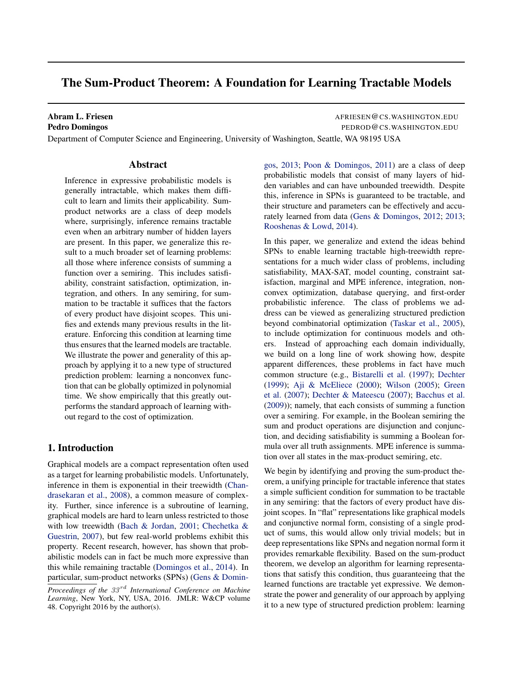# The Sum-Product Theorem: A Foundation for Learning Tractable Models

Abram L. Friesen **AFRIESEN COMMUNICITY** AFRIESEN COS. WASHINGTON.EDU Pedro Domingos **Pedro Domingos PEDROD & CONSTRUCTION PEDROD & CONSTRUCTION** PEDROD & CONSTRUCTION.EDU Department of Computer Science and Engineering, University of Washington, Seattle, WA 98195 USA

### Abstract

Inference in expressive probabilistic models is generally intractable, which makes them difficult to learn and limits their applicability. Sumproduct networks are a class of deep models where, surprisingly, inference remains tractable even when an arbitrary number of hidden layers are present. In this paper, we generalize this result to a much broader set of learning problems: all those where inference consists of summing a function over a semiring. This includes satisfiability, constraint satisfaction, optimization, integration, and others. In any semiring, for summation to be tractable it suffices that the factors of every product have disjoint scopes. This unifies and extends many previous results in the literature. Enforcing this condition at learning time thus ensures that the learned models are tractable. We illustrate the power and generality of this approach by applying it to a new type of structured prediction problem: learning a nonconvex function that can be globally optimized in polynomial time. We show empirically that this greatly outperforms the standard approach of learning without regard to the cost of optimization.

# 1. Introduction

Graphical models are a compact representation often used as a target for learning probabilistic models. Unfortunately, inference in them is exponential in their treewidth [\(Chan](#page-8-0)[drasekaran et al.,](#page-8-0) [2008\)](#page-8-0), a common measure of complexity. Further, since inference is a subroutine of learning, graphical models are hard to learn unless restricted to those with low treewidth [\(Bach & Jordan,](#page-8-0) [2001;](#page-8-0) [Chechetka &](#page-8-0) [Guestrin,](#page-8-0) [2007\)](#page-8-0), but few real-world problems exhibit this property. Recent research, however, has shown that probabilistic models can in fact be much more expressive than this while remaining tractable [\(Domingos et al.,](#page-8-0) [2014\)](#page-8-0). In particular, sum-product networks (SPNs) [\(Gens & Domin-](#page-8-0) [gos,](#page-8-0) [2013;](#page-8-0) [Poon & Domingos,](#page-9-0) [2011\)](#page-9-0) are a class of deep probabilistic models that consist of many layers of hidden variables and can have unbounded treewidth. Despite this, inference in SPNs is guaranteed to be tractable, and their structure and parameters can be effectively and accurately learned from data [\(Gens & Domingos,](#page-8-0) [2012;](#page-8-0) [2013;](#page-8-0) [Rooshenas & Lowd,](#page-9-0) [2014\)](#page-9-0).

In this paper, we generalize and extend the ideas behind SPNs to enable learning tractable high-treewidth representations for a much wider class of problems, including satisfiability, MAX-SAT, model counting, constraint satisfaction, marginal and MPE inference, integration, nonconvex optimization, database querying, and first-order probabilistic inference. The class of problems we address can be viewed as generalizing structured prediction beyond combinatorial optimization [\(Taskar et al.,](#page-9-0) [2005\)](#page-9-0), to include optimization for continuous models and others. Instead of approaching each domain individually, we build on a long line of work showing how, despite apparent differences, these problems in fact have much common structure (e.g., [Bistarelli et al.](#page-8-0) [\(1997\)](#page-8-0); [Dechter](#page-8-0) [\(1999\)](#page-8-0); [Aji & McEliece](#page-8-0) [\(2000\)](#page-8-0); [Wilson](#page-9-0) [\(2005\)](#page-9-0); [Green](#page-8-0) [et al.](#page-8-0) [\(2007\)](#page-8-0); [Dechter & Mateescu](#page-8-0) [\(2007\)](#page-8-0); [Bacchus et al.](#page-8-0) [\(2009\)](#page-8-0)); namely, that each consists of summing a function over a semiring. For example, in the Boolean semiring the sum and product operations are disjunction and conjunction, and deciding satisfiability is summing a Boolean formula over all truth assignments. MPE inference is summation over all states in the max-product semiring, etc.

We begin by identifying and proving the sum-product theorem, a unifying principle for tractable inference that states a simple sufficient condition for summation to be tractable in any semiring: that the factors of every product have disjoint scopes. In "flat" representations like graphical models and conjunctive normal form, consisting of a single product of sums, this would allow only trivial models; but in deep representations like SPNs and negation normal form it provides remarkable flexibility. Based on the sum-product theorem, we develop an algorithm for learning representations that satisfy this condition, thus guaranteeing that the learned functions are tractable yet expressive. We demonstrate the power and generality of our approach by applying it to a new type of structured prediction problem: learning

*Proceedings of the 33<sup>rd</sup> International Conference on Machine Learning*, New York, NY, USA, 2016. JMLR: W&CP volume 48. Copyright 2016 by the author(s).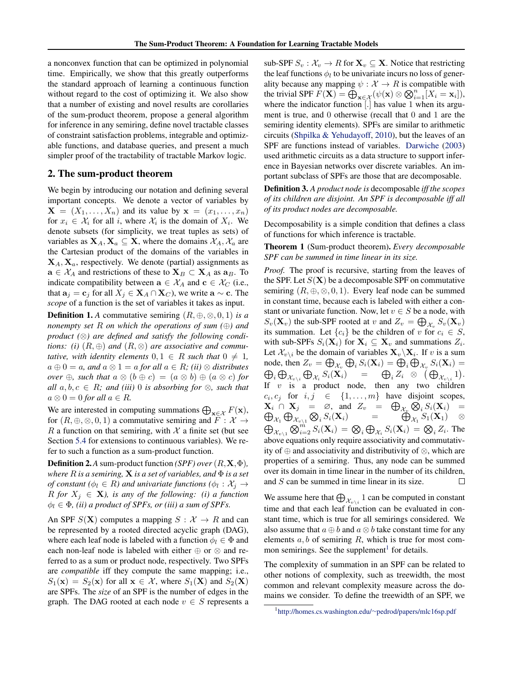a nonconvex function that can be optimized in polynomial time. Empirically, we show that this greatly outperforms the standard approach of learning a continuous function without regard to the cost of optimizing it. We also show that a number of existing and novel results are corollaries of the sum-product theorem, propose a general algorithm for inference in any semiring, define novel tractable classes of constraint satisfaction problems, integrable and optimizable functions, and database queries, and present a much simpler proof of the tractability of tractable Markov logic.

# 2. The sum-product theorem

We begin by introducing our notation and defining several important concepts. We denote a vector of variables by  $\mathbf{X} = (X_1, \dots, X_n)$  and its value by  $\mathbf{x} = (x_1, \dots, x_n)$ for  $x_i \in \mathcal{X}_i$  for all i, where  $\mathcal{X}_i$  is the domain of  $X_i$ . We denote subsets (for simplicity, we treat tuples as sets) of variables as  $X_A, X_a \subseteq X$ , where the domains  $\mathcal{X}_A, \mathcal{X}_a$  are the Cartesian product of the domains of the variables in  $X_A, X_a$ , respectively. We denote (partial) assignments as  $\mathbf{a} \in \mathcal{X}_A$  and restrictions of these to  $\mathbf{X}_B \subset \mathbf{X}_A$  as  $\mathbf{a}_B$ . To indicate compatibility between  $\mathbf{a} \in \mathcal{X}_A$  and  $\mathbf{c} \in \mathcal{X}_C$  (i.e., that  $\mathbf{a}_j = \mathbf{c}_j$  for all  $X_j \in \mathbf{X}_A \cap \mathbf{X}_C$ , we write  $\mathbf{a} \sim \mathbf{c}$ . The *scope* of a function is the set of variables it takes as input.

**Definition 1.** *A* commutative semiring  $(R, \oplus, \otimes, 0, 1)$  *is a nonempty set* R *on which the operations of sum (*⊕*) and product (*⊗*) are defined and satisfy the following conditions:* (*i*)  $(R, \oplus)$  *and*  $(R, \otimes)$  *are associative and commutative, with identity elements*  $0, 1 \in R$  *such that*  $0 \neq 1$ *,*  $a \oplus 0 = a$ , and  $a \otimes 1 = a$  *for all*  $a \in R$ ; *(ii)*  $\otimes$  *distributes over*  $\oplus$ *, such that*  $a \otimes (b \oplus c) = (a \otimes b) \oplus (a \otimes c)$  *for all*  $a, b, c \in R$ *;* and (iii) 0 is absorbing for  $\otimes$ *, such that*  $a \otimes 0 = 0$  *for all*  $a \in R$ .

We are interested in computing summations  $\bigoplus_{\mathbf{x} \in \mathcal{X}} F(\mathbf{x})$ , for  $(R, \oplus, \otimes, 0, 1)$  a commutative semiring and  $F : \mathcal{X} \to$ R a function on that semiring, with  $\mathcal X$  a finite set (but see Section [5.4](#page-6-0) for extensions to continuous variables). We refer to such a function as a sum-product function.

Definition 2.*A* sum-product function *(SPF) over*(R,X,Φ)*, where* R *is a semiring,* X *is a set of variables, and* Φ *is a set of constant* ( $\phi_l \in R$ ) and univariate functions ( $\phi_l : \mathcal{X}_j \to$ R for  $X_j \in \mathbf{X}$ *), is any of the following: (i) a function*  $\phi_l \in \Phi$ , *(ii) a product of SPFs, or (iii) a sum of SPFs.* 

An SPF  $S(X)$  computes a mapping  $S : \mathcal{X} \to R$  and can be represented by a rooted directed acyclic graph (DAG), where each leaf node is labeled with a function  $\phi_l \in \Phi$  and each non-leaf node is labeled with either ⊕ or ⊗ and referred to as a sum or product node, respectively. Two SPFs are *compatible* iff they compute the same mapping; i.e.,  $S_1(\mathbf{x}) = S_2(\mathbf{x})$  for all  $\mathbf{x} \in \mathcal{X}$ , where  $S_1(\mathbf{X})$  and  $S_2(\mathbf{X})$ are SPFs. The *size* of an SPF is the number of edges in the graph. The DAG rooted at each node  $v \in S$  represents a sub-SPF  $S_v : \mathcal{X}_v \to R$  for  $\mathbf{X}_v \subseteq \mathbf{X}$ . Notice that restricting the leaf functions  $\phi_l$  to be univariate incurs no loss of generality because any mapping  $\psi : \mathcal{X} \to R$  is compatible with the trivial SPF  $F(\mathbf{X}) = \bigoplus_{\mathbf{x} \in \mathcal{X}} (\psi(\mathbf{x}) \otimes \bigotimes_{i=1}^{n} [X_i = \mathbf{x}_i]),$ where the indicator function [.] has value 1 when its argument is true, and 0 otherwise (recall that 0 and 1 are the semiring identity elements). SPFs are similar to arithmetic circuits [\(Shpilka & Yehudayoff,](#page-9-0) [2010\)](#page-9-0), but the leaves of an SPF are functions instead of variables. [Darwiche](#page-8-0) [\(2003\)](#page-8-0) used arithmetic circuits as a data structure to support inference in Bayesian networks over discrete variables. An important subclass of SPFs are those that are decomposable.

Definition 3. *A product node is* decomposable *iff the scopes of its children are disjoint. An SPF is decomposable iff all of its product nodes are decomposable.*

Decomposability is a simple condition that defines a class of functions for which inference is tractable.

Theorem 1 (Sum-product theorem). *Every decomposable SPF can be summed in time linear in its size.*

*Proof.* The proof is recursive, starting from the leaves of the SPF. Let  $S(X)$  be a decomposable SPF on commutative semiring  $(R, \oplus, \otimes, 0, 1)$ . Every leaf node can be summed in constant time, because each is labeled with either a constant or univariate function. Now, let  $v \in S$  be a node, with  $S_v(\mathbf{X}_v)$  the sub-SPF rooted at v and  $Z_v = \bigoplus_{\mathcal{X}_v} S_v(\mathbf{X}_v)$ its summation. Let  ${c_i}$  be the children of v for  $c_i \in S$ , with sub-SPFs  $S_i(\mathbf{X}_i)$  for  $\mathbf{X}_i \subseteq \mathbf{X}_v$  and summations  $Z_i$ . Let  $\mathcal{X}_{v\setminus i}$  be the domain of variables  $\mathbf{X}_v\setminus\mathbf{X}_i$ . If v is a sum node, then  $Z_v = \bigoplus_{\mathcal{X}_v} \bigoplus_i S_i(\mathbf{X}_i) = \bigoplus_i \bigoplus_{\mathcal{X}_v} S_i(\mathbf{X}_i) =$  $\bigoplus_i \bigoplus_{\mathcal{X}_{v\setminus i}} \bigoplus_{\mathcal{X}_i} S_i(\mathbf{X}_i) \quad = \quad \bigoplus_i Z_i \; \otimes \; \big(\bigoplus_{\mathcal{X}_{v\setminus i}} 1 \big).$ If  $v$  is a product node, then any two children  $c_i, c_j$  for  $i, j \in \{1, ..., m\}$  have disjoint scopes,  $X_i \cap X_j = \emptyset$ , and  $Z_v = \bigoplus_{\mathcal{X}_v} \bigotimes$  $i S_i(\mathbf{X}_i) =$  $\oplus$  $\mathcal{X}_1 \bigoplus \mathcal{X}_{v \setminus 1} \bigotimes_i S_i(\mathbf{X}_i)$  =  $\bigoplus \mathcal{X}_1 S_1(\mathbf{X}_1)$   $\otimes$  $\bigoplus_{\mathcal{X}_{v\setminus 1}}\bigotimes_{i=2}^{m}S_i(\mathbf{X}_i) = \bigotimes_i\bigoplus_{\mathcal{X}_i}S_i(\mathbf{X}_i) = \bigotimes_i Z_i.$  The above equations only require associativity and commutativity of ⊕ and associativity and distributivity of ⊗, which are properties of a semiring. Thus, any node can be summed over its domain in time linear in the number of its children, and S can be summed in time linear in its size. П

We assume here that  $\bigoplus_{\mathcal{X}_{v\setminus i}} 1$  can be computed in constant time and that each leaf function can be evaluated in constant time, which is true for all semirings considered. We also assume that  $a \oplus b$  and  $a \otimes b$  take constant time for any elements  $a, b$  of semiring  $R$ , which is true for most common semirings. See the supplement<sup>1</sup> for details.

The complexity of summation in an SPF can be related to other notions of complexity, such as treewidth, the most common and relevant complexity measure across the domains we consider. To define the treewidth of an SPF, we

<sup>1</sup> [http://homes.cs.washington.edu/](http://homes.cs.washington.edu/~pedrod/papers/mlc16sp.pdf)∼pedrod/papers/mlc16sp.pdf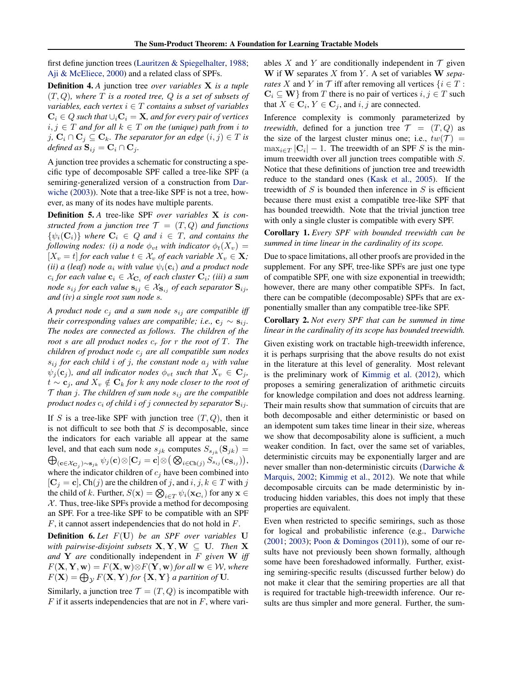first define junction trees [\(Lauritzen & Spiegelhalter,](#page-9-0) [1988;](#page-9-0) [Aji & McEliece,](#page-8-0) [2000\)](#page-8-0) and a related class of SPFs.

Definition 4. *A* junction tree *over variables* X *is a tuple* (T, Q)*, where* T *is a rooted tree,* Q *is a set of subsets of variables, each vertex*  $i \in T$  *contains a subset of variables*  $C_i \in Q$  such that  $\cup_i C_i = X$ , and for every pair of vertices  $i, j \in T$  *and for all*  $k \in T$  *on the (unique) path from i to* j,  $\mathbf{C}_i \cap \mathbf{C}_j \subseteq \mathbf{C}_k$ *. The separator for an edge*  $(i, j) \in T$  *is defined as*  $\mathbf{S}_{ij} = \mathbf{C}_i \cap \mathbf{C}_j$ *.* 

A junction tree provides a schematic for constructing a specific type of decomposable SPF called a tree-like SPF (a semiring-generalized version of a construction from [Dar](#page-8-0)[wiche](#page-8-0) [\(2003\)](#page-8-0)). Note that a tree-like SPF is not a tree, however, as many of its nodes have multiple parents.

Definition 5. *A* tree-like SPF *over variables* X *is constructed from a junction tree*  $\mathcal{T} = (T, Q)$  *and functions*  $\{\psi_i(\mathbf{C}_i)\}\$  where  $\mathbf{C}_i \in Q$  and  $i \in T$ , and contains the *following nodes: (i) a node*  $\phi_{vt}$  *with indicator*  $\phi_t(X_v)$  =  $[X_v = t]$  *for each value*  $t \in \mathcal{X}_v$  *of each variable*  $X_v \in \mathbf{X}$ *; (ii) a (leaf) node*  $a_i$  *with value*  $\psi_i(\mathbf{c}_i)$  *and a product node*  $c_i$  for each value  $\mathbf{c}_i \in \mathcal{X}_{\mathbf{C}_i}$  of each cluster  $\mathbf{C}_i$ ; (iii) a sum *node*  $s_{ij}$  *for each value*  $s_{ij} \in X_{S_{ij}}$  *of each separator*  $S_{ij}$ *, and (iv) a single root sum node* s*.*

*A product node* c<sup>j</sup> *and a sum node* sij *are compatible iff their corresponding values are compatible; i.e.,*  $\mathbf{c}_i \sim \mathbf{s}_{ij}$ *. The nodes are connected as follows. The children of the root s* are all product nodes  $c_r$  for r the root of T. The *children of product node* c<sup>j</sup> *are all compatible sum nodes*  $s_{ij}$  *for each child i of j, the constant node*  $a_j$  *with value*  $\psi_j(\mathbf{c}_j)$ *, and all indicator nodes*  $\phi_{vt}$  *such that*  $X_v \in \mathbf{C}_j$ *, t* ∼  $\mathbf{c}_j$ , and  $X_v \notin \mathbf{C}_k$  *for k* any node closer to the root of  $\mathcal T$  *than j.* The children of sum node  $s_{ij}$  are the compatible *product nodes*  $c_i$  *of child i of j connected by separator*  $S_{ij}$ *.* 

If S is a tree-like SPF with junction tree  $(T, Q)$ , then it is not difficult to see both that  $S$  is decomposable, since the indicators for each variable all appear at the same level, and that each sum node  $s_{jk}$  computes  $S_{s_{jk}}(\mathbf{S}_{jk}) =$  $\bigoplus_{({\bf c}\in{\cal X}_{{\bf C}_j})\sim {\bf s}_{jk}}\psi_j({\bf c})\!\otimes\![{\bf C}_j={\bf c}]\!\otimes\! \big(\bigotimes_{i\in\text{Ch}(j)}S_{s_{ij}}({\bf c}_{{\bf S}_{ij}})\big),$ where the indicator children of  $c_j$  have been combined into  $[C_j = c]$ , Ch(j) are the children of j, and  $i, j, k \in T$  with j the child of k. Further,  $S(\mathbf{x}) = \bigotimes_{i \in T} \psi_i(\mathbf{x_{C_i}})$  for any  $\mathbf{x} \in$  $X$ . Thus, tree-like SPFs provide a method for decomposing an SPF. For a tree-like SPF to be compatible with an SPF F, it cannot assert independencies that do not hold in F.

Definition 6. *Let* F(U) *be an SPF over variables* U *with pairwise-disjoint subsets*  $X, Y, W \subseteq U$ . Then X *and* Y *are* conditionally independent in F *given* W *iff*  $F(\mathbf{X}, \mathbf{Y}, \mathbf{w}) = F(\mathbf{X}, \mathbf{w}) \otimes F(\mathbf{Y}, \mathbf{w})$  *for all*  $\mathbf{w} \in \mathcal{W}$ *, where*  $F(\mathbf{X}) = \bigoplus_{\mathcal{Y}} F(\mathbf{X}, \mathbf{Y})$  *for*  $\{ \mathbf{X}, \mathbf{Y} \}$  *a partition of* **U**.

Similarly, a junction tree  $\mathcal{T} = (T, Q)$  is incompatible with  $F$  if it asserts independencies that are not in  $F$ , where variables X and Y are conditionally independent in  $\mathcal T$  given W if W separates X from Y . A set of variables W *separates* X and Y in  $\mathcal T$  iff after removing all vertices  $\{i \in \mathcal T :$  $C_i \subseteq W$  from T there is no pair of vertices  $i, j \in T$  such that  $X \in \mathbf{C}_i, Y \in \mathbf{C}_j$ , and  $i, j$  are connected.

Inference complexity is commonly parameterized by *treewidth*, defined for a junction tree  $\mathcal{T} = (T, Q)$  as the size of the largest cluster minus one; i.e.,  $tw(\mathcal{T}) =$  $\max_{i \in T} |C_i| - 1$ . The treewidth of an SPF S is the minimum treewidth over all junction trees compatible with S. Notice that these definitions of junction tree and treewidth reduce to the standard ones [\(Kask et al.,](#page-8-0) [2005\)](#page-8-0). If the treewidth of  $S$  is bounded then inference in  $S$  is efficient because there must exist a compatible tree-like SPF that has bounded treewidth. Note that the trivial junction tree with only a single cluster is compatible with every SPF.

Corollary 1. *Every SPF with bounded treewidth can be summed in time linear in the cardinality of its scope.*

Due to space limitations, all other proofs are provided in the supplement. For any SPF, tree-like SPFs are just one type of compatible SPF, one with size exponential in treewidth; however, there are many other compatible SPFs. In fact, there can be compatible (decomposable) SPFs that are exponentially smaller than any compatible tree-like SPF.

Corollary 2. *Not every SPF that can be summed in time linear in the cardinality of its scope has bounded treewidth.*

Given existing work on tractable high-treewidth inference, it is perhaps surprising that the above results do not exist in the literature at this level of generality. Most relevant is the preliminary work of [Kimmig et al.](#page-8-0) [\(2012\)](#page-8-0), which proposes a semiring generalization of arithmetic circuits for knowledge compilation and does not address learning. Their main results show that summation of circuits that are both decomposable and either deterministic or based on an idempotent sum takes time linear in their size, whereas we show that decomposability alone is sufficient, a much weaker condition. In fact, over the same set of variables, deterministic circuits may be exponentially larger and are never smaller than non-deterministic circuits [\(Darwiche &](#page-8-0) [Marquis,](#page-8-0) [2002;](#page-8-0) [Kimmig et al.,](#page-8-0) [2012\)](#page-8-0). We note that while decomposable circuits can be made deterministic by introducing hidden variables, this does not imply that these properties are equivalent.

Even when restricted to specific semirings, such as those for logical and probabilistic inference (e.g., [Darwiche](#page-8-0) [\(2001;](#page-8-0) [2003\)](#page-8-0); [Poon & Domingos](#page-9-0) [\(2011\)](#page-9-0)), some of our results have not previously been shown formally, although some have been foreshadowed informally. Further, existing semiring-specific results (discussed further below) do not make it clear that the semiring properties are all that is required for tractable high-treewidth inference. Our results are thus simpler and more general. Further, the sum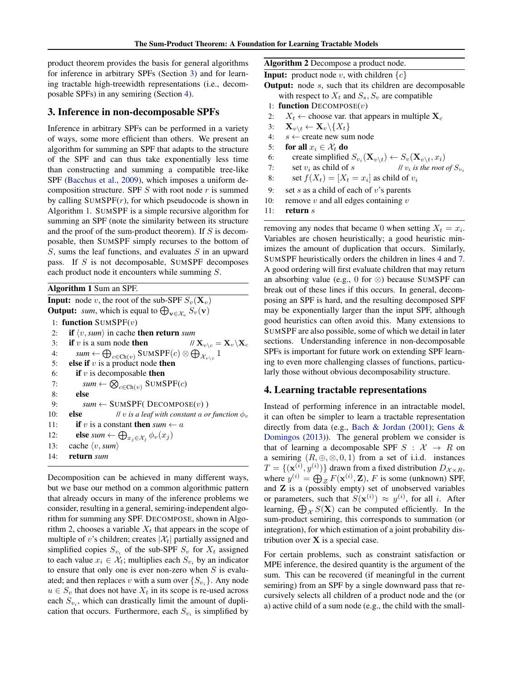product theorem provides the basis for general algorithms for inference in arbitrary SPFs (Section 3) and for learning tractable high-treewidth representations (i.e., decomposable SPFs) in any semiring (Section 4).

# 3. Inference in non-decomposable SPFs

Inference in arbitrary SPFs can be performed in a variety of ways, some more efficient than others. We present an algorithm for summing an SPF that adapts to the structure of the SPF and can thus take exponentially less time than constructing and summing a compatible tree-like SPF [\(Bacchus et al.,](#page-8-0) [2009\)](#page-8-0), which imposes a uniform decomposition structure. SPF  $S$  with root node  $r$  is summed by calling  $\text{SUMSPF}(r)$ , for which pseudocode is shown in Algorithm 1. SUMSPF is a simple recursive algorithm for summing an SPF (note the similarity between its structure and the proof of the sum-product theorem). If  $S$  is decomposable, then SUMSPF simply recurses to the bottom of  $S$ , sums the leaf functions, and evaluates  $S$  in an upward pass. If S is not decomposable, SUMSPF decomposes each product node it encounters while summing S.

Algorithm 1 Sum an SPF.

**Input:** node v, the root of the sub-SPF  $S_v(\mathbf{X}_v)$ **Output:** *sum*, which is equal to  $\bigoplus_{\mathbf{v}\in\mathcal{X}_v} S_v(\mathbf{v})$ 1: function  $\text{SUMSPF}(v)$ 2: **if**  $\langle v, \mathit{sum} \rangle$  in cache then return *sum* 3: if v is a sum node then  $//X_{v\setminus c} = X_v\setminus X_c$ 4:  $sum \leftarrow \bigoplus_{c \in \text{Ch}(v)} \text{SUMSPF}(c) \otimes \bigoplus_{\mathcal{X}_{v \setminus c}} 1$ 5: else if  $v$  is a product node then 6: if  $v$  is decomposable then 7:  $sum \leftarrow \bigotimes_{c \in \text{Ch}(v)} \text{SUMSPF}(c)$ 8: else 9:  $sum \leftarrow \text{SUMSPF}(\text{DECOMPOSE}(v))$ 10: **else** *// v is a leaf with constant a or function*  $\phi_v$ 11: **if** v is a constant **then**  $sum \leftarrow a$ 12: **else** *sum*  $\leftarrow \bigoplus_{x_j \in \mathcal{X}_j} \phi_v(x_j)$ 13: cache  $\langle v, \mathit{sum} \rangle$ 14: return *sum*

Decomposition can be achieved in many different ways, but we base our method on a common algorithmic pattern that already occurs in many of the inference problems we consider, resulting in a general, semiring-independent algorithm for summing any SPF. DECOMPOSE, shown in Algorithm 2, chooses a variable  $X_t$  that appears in the scope of multiple of v's children; creates  $|\mathcal{X}_t|$  partially assigned and simplified copies  $S_{v_i}$  of the sub-SPF  $S_v$  for  $X_t$  assigned to each value  $x_i \in \mathcal{X}_t$ ; multiplies each  $S_{v_i}$  by an indicator to ensure that only one is ever non-zero when  $S$  is evaluated; and then replaces v with a sum over  $\{S_{v_i}\}\$ . Any node  $u \in S_v$  that does not have  $X_t$  in its scope is re-used across each  $S_{v_i}$ , which can drastically limit the amount of duplication that occurs. Furthermore, each  $S_{v_i}$  is simplified by Algorithm 2 Decompose a product node.

**Input:** product node v, with children  $\{c\}$ 

**Output:** node  $s$ , such that its children are decomposable with respect to  $X_t$  and  $S_s$ ,  $S_v$  are compatible

- 1: function  $DECOMPOSE(v)$
- 2:  $X_t \leftarrow$  choose var. that appears in multiple  $X_c$
- 3:  $\mathbf{X}_{v\setminus t} \leftarrow \mathbf{X}_v \setminus \{X_t\}$
- 4:  $s \leftarrow$  create new sum node
- 5: for all  $x_i \in \mathcal{X}_t$  do
- 6: create simplified  $S_{v_i}(\mathbf{X}_{v \setminus t}) \leftarrow S_v(\mathbf{X}_{v \setminus t}, x_i)$
- 7: set  $v_i$  as child of *s* //  $v_i$  *is the root of*  $S_{v_i}$
- 8: set  $f(X_t) = [X_t = x_i]$  as child of  $v_i$
- 9: set s as a child of each of  $v$ 's parents
- 10: remove v and all edges containing  $v$

11: return  $s$ 

removing any nodes that became 0 when setting  $X_t = x_i$ . Variables are chosen heuristically; a good heuristic minimizes the amount of duplication that occurs. Similarly, SUMSPF heuristically orders the children in lines 4 and 7. A good ordering will first evaluate children that may return an absorbing value (e.g., 0 for ⊗) because SUMSPF can break out of these lines if this occurs. In general, decomposing an SPF is hard, and the resulting decomposed SPF may be exponentially larger than the input SPF, although good heuristics can often avoid this. Many extensions to SUMSPF are also possible, some of which we detail in later sections. Understanding inference in non-decomposable SPFs is important for future work on extending SPF learning to even more challenging classes of functions, particularly those without obvious decomposability structure.

# 4. Learning tractable representations

Instead of performing inference in an intractable model, it can often be simpler to learn a tractable representation directly from data (e.g., [Bach & Jordan](#page-8-0) [\(2001\)](#page-8-0); [Gens &](#page-8-0) [Domingos](#page-8-0) [\(2013\)](#page-8-0)). The general problem we consider is that of learning a decomposable SPF  $S : \mathcal{X} \rightarrow R$  on a semiring  $(R, \oplus, \otimes, 0, 1)$  from a set of i.i.d. instances  $T = \{(\mathbf{x}^{(i)}, y^{(i)})\}$  drawn from a fixed distribution  $D_{\mathcal{X} \times R}$ , where  $y^{(i)} = \bigoplus_{\mathcal{Z}} F(\mathbf{x}^{(i)}, \mathbf{Z})$ , F is some (unknown) SPF, and Z is a (possibly empty) set of unobserved variables or parameters, such that  $S(\mathbf{x}^{(i)}) \approx y^{(i)}$ , for all *i*. After learning,  $\bigoplus_{\mathcal{X}} S(\mathbf{X})$  can be computed efficiently. In the sum-product semiring, this corresponds to summation (or integration), for which estimation of a joint probability distribution over  $X$  is a special case.

For certain problems, such as constraint satisfaction or MPE inference, the desired quantity is the argument of the sum. This can be recovered (if meaningful in the current semiring) from an SPF by a single downward pass that recursively selects all children of a product node and the (or a) active child of a sum node (e.g., the child with the small-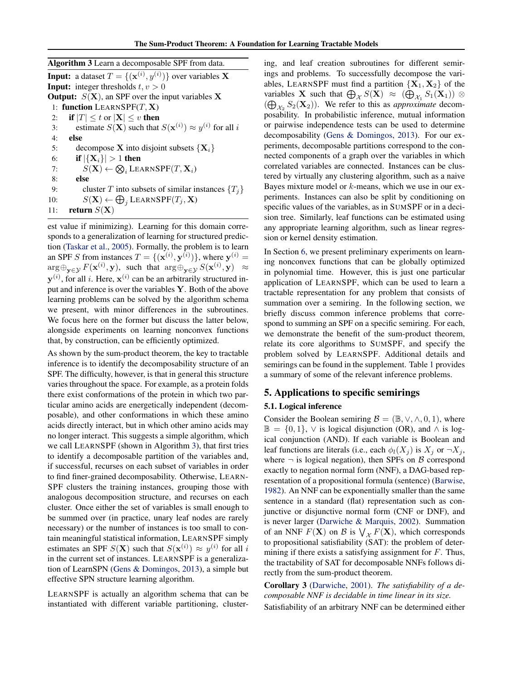<span id="page-4-0"></span>

| <b>Algorithm 3</b> Learn a decomposable SPF from data.                                   |
|------------------------------------------------------------------------------------------|
| <b>Input:</b> a dataset $T = \{(\mathbf{x}^{(i)}, y^{(i)})\}$ over variables <b>X</b>    |
| <b>Input:</b> integer thresholds $t, v > 0$                                              |
| <b>Output:</b> $S(X)$ , an SPF over the input variables X                                |
| 1: function LEARNSPF $(T, X)$                                                            |
| <b>if</b> $ T  \le t$ or $ \mathbf{X}  \le v$ then<br>2:                                 |
| estimate $S(\mathbf{X})$ such that $S(\mathbf{x}^{(i)}) \approx y^{(i)}$ for all i<br>3: |
| else<br>4:                                                                               |
| decompose <b>X</b> into disjoint subsets $\{X_i\}$<br>5:                                 |
| if $ \{X_i\}  > 1$ then<br>6:                                                            |
| $S(\mathbf{X}) \leftarrow \bigotimes_i \text{LEARNINGPF}(T, \mathbf{X}_i)$<br>7:         |
| else<br>8:                                                                               |
| cluster T into subsets of similar instances $\{T_i\}$<br>9:                              |
| $S(\mathbf{X}) \leftarrow \bigoplus_{i} \text{LEARNINGPF}(T_i, \mathbf{X})$<br>10:       |
| return $S(X)$<br>11:                                                                     |
|                                                                                          |

est value if minimizing). Learning for this domain corresponds to a generalization of learning for structured prediction [\(Taskar et al.,](#page-9-0) [2005\)](#page-9-0). Formally, the problem is to learn an SPF S from instances  $T = \{(\mathbf{x}^{(i)}, \mathbf{y}^{(i)})\}$ , where  $\mathbf{y}^{(i)} =$  $\arg \oplus_{\mathbf{y} \in \mathcal{Y}} F(\mathbf{x}^{(i)}, \mathbf{y}),$  such that  $\arg \oplus_{\mathbf{y} \in \mathcal{Y}} S(\mathbf{x}^{(i)}, \mathbf{y}) \approx$  $y^{(i)}$ , for all i. Here,  $x^{(i)}$  can be an arbitrarily structured input and inference is over the variables  $Y$ . Both of the above learning problems can be solved by the algorithm schema we present, with minor differences in the subroutines. We focus here on the former but discuss the latter below, alongside experiments on learning nonconvex functions that, by construction, can be efficiently optimized.

As shown by the sum-product theorem, the key to tractable inference is to identify the decomposability structure of an SPF. The difficulty, however, is that in general this structure varies throughout the space. For example, as a protein folds there exist conformations of the protein in which two particular amino acids are energetically independent (decomposable), and other conformations in which these amino acids directly interact, but in which other amino acids may no longer interact. This suggests a simple algorithm, which we call LEARNSPF (shown in Algorithm 3), that first tries to identify a decomposable partition of the variables and, if successful, recurses on each subset of variables in order to find finer-grained decomposability. Otherwise, LEARN-SPF clusters the training instances, grouping those with analogous decomposition structure, and recurses on each cluster. Once either the set of variables is small enough to be summed over (in practice, unary leaf nodes are rarely necessary) or the number of instances is too small to contain meaningful statistical information, LEARNSPF simply estimates an SPF  $S(X)$  such that  $S(\mathbf{x}^{(i)}) \approx y^{(i)}$  for all i in the current set of instances. LEARNSPF is a generalization of LearnSPN [\(Gens & Domingos,](#page-8-0) [2013\)](#page-8-0), a simple but effective SPN structure learning algorithm.

LEARNSPF is actually an algorithm schema that can be instantiated with different variable partitioning, clustering, and leaf creation subroutines for different semirings and problems. To successfully decompose the variables, LEARNSPF must find a partition  ${X_1, X_2}$  of the variables **X** such that  $\bigoplus_{\mathcal{X}} S(\mathbf{X}) \approx (\bigoplus_{\mathcal{X}_1} S_1(\mathbf{X}_1)) \otimes$  $(\bigoplus_{\mathcal{X}_2} S_2(\mathbf{X}_2))$ . We refer to this as *approximate* decomposability. In probabilistic inference, mutual information or pairwise independence tests can be used to determine decomposability [\(Gens & Domingos,](#page-8-0) [2013\)](#page-8-0). For our experiments, decomposable partitions correspond to the connected components of a graph over the variables in which correlated variables are connected. Instances can be clustered by virtually any clustering algorithm, such as a naive Bayes mixture model or  $k$ -means, which we use in our experiments. Instances can also be split by conditioning on specific values of the variables, as in SUMSPF or in a decision tree. Similarly, leaf functions can be estimated using any appropriate learning algorithm, such as linear regression or kernel density estimation.

In Section [6,](#page-7-0) we present preliminary experiments on learning nonconvex functions that can be globally optimized in polynomial time. However, this is just one particular application of LEARNSPF, which can be used to learn a tractable representation for any problem that consists of summation over a semiring. In the following section, we briefly discuss common inference problems that correspond to summing an SPF on a specific semiring. For each, we demonstrate the benefit of the sum-product theorem, relate its core algorithms to SUMSPF, and specify the problem solved by LEARNSPF. Additional details and semirings can be found in the supplement. Table [1](#page-5-0) provides a summary of some of the relevant inference problems.

# 5. Applications to specific semirings

### 5.1. Logical inference

Consider the Boolean semiring  $\mathcal{B} = (\mathbb{B}, \vee, \wedge, 0, 1)$ , where  $\mathbb{B} = \{0, 1\}, \vee$  is logical disjunction (OR), and  $\wedge$  is logical conjunction (AND). If each variable is Boolean and leaf functions are literals (i.e., each  $\phi_l(X_i)$  is  $X_i$  or  $\neg X_i$ , where  $\neg$  is logical negation), then SPFs on B correspond exactly to negation normal form (NNF), a DAG-based representation of a propositional formula (sentence) [\(Barwise,](#page-8-0) [1982\)](#page-8-0). An NNF can be exponentially smaller than the same sentence in a standard (flat) representation such as conjunctive or disjunctive normal form (CNF or DNF), and is never larger [\(Darwiche & Marquis,](#page-8-0) [2002\)](#page-8-0). Summation of an NNF  $F(\mathbf{X})$  on  $\mathcal{B}$  is  $\bigvee_{\mathcal{X}} F(\mathbf{X})$ , which corresponds to propositional satisfiability (SAT): the problem of determining if there exists a satisfying assignment for  $F$ . Thus, the tractability of SAT for decomposable NNFs follows directly from the sum-product theorem.

Corollary 3 [\(Darwiche,](#page-8-0) [2001\)](#page-8-0). *The satisfiability of a decomposable NNF is decidable in time linear in its size.* Satisfiability of an arbitrary NNF can be determined either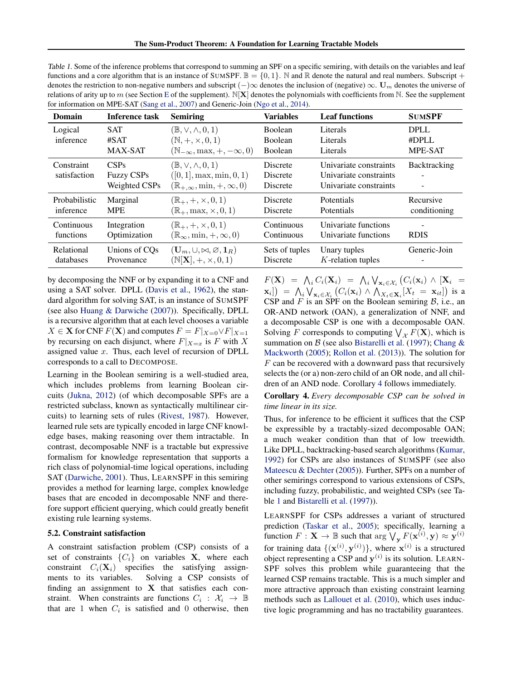<span id="page-5-0"></span>Table 1. Some of the inference problems that correspond to summing an SPF on a specific semiring, with details on the variables and leaf functions and a core algorithm that is an instance of SUMSPF.  $\mathbb{B} = \{0, 1\}$ . N and R denote the natural and real numbers. Subscript + denotes the restriction to non-negative numbers and subscript  $(-)\infty$  denotes the inclusion of (negative)  $\infty$ . U<sub>m</sub> denotes the universe of relations of arity up to m (see Section [E](#page-4-0) of the supplement).  $N[X]$  denotes the polynomials with coefficients from N. See the supplement for information on MPE-SAT [\(Sang et al.,](#page-9-0) [2007\)](#page-9-0) and Generic-Join [\(Ngo et al.,](#page-9-0) [2014\)](#page-9-0).

| Domain                     | Inference task                             | <b>Semiring</b>                                                                                                        | <b>Variables</b>                                   | <b>Leaf functions</b>                                                      | <b>SUMSPF</b>                          |
|----------------------------|--------------------------------------------|------------------------------------------------------------------------------------------------------------------------|----------------------------------------------------|----------------------------------------------------------------------------|----------------------------------------|
| Logical<br>inference       | <b>SAT</b><br>#SAT<br><b>MAX-SAT</b>       | $(\mathbb{B}, \vee, \wedge, 0, 1)$<br>$(\mathbb{N}, +, \times, 0, 1)$<br>$(\mathbb{N}_{-\infty}, \max, +, -\infty, 0)$ | <b>Boolean</b><br><b>Boolean</b><br><b>Boolean</b> | Literals<br>Literals<br>Literals                                           | <b>DPLL</b><br>#DPLL<br><b>MPE-SAT</b> |
| Constraint<br>satisfaction | CSPs<br><b>Fuzzy CSPs</b><br>Weighted CSPs | $(\mathbb{B}, \vee, \wedge, 0, 1)$<br>$([0, 1], \max, \min, 0, 1)$<br>$(\mathbb{R}_{+,\infty}, \min, +,\infty, 0)$     | <b>Discrete</b><br>Discrete<br><b>Discrete</b>     | Univariate constraints<br>Univariate constraints<br>Univariate constraints | <b>Backtracking</b><br>۰               |
| Probabilistic              | Marginal                                   | $(\mathbb{R}_+, +, \times, 0, 1)$                                                                                      | <b>Discrete</b>                                    | Potentials                                                                 | Recursive                              |
| inference                  | <b>MPE</b>                                 | $(\mathbb{R}_+, \max, \times, 0, 1)$                                                                                   | <b>Discrete</b>                                    | Potentials                                                                 | conditioning                           |
| Continuous                 | Integration                                | $(\mathbb{R}_+, +, \times, 0, 1)$                                                                                      | Continuous                                         | Univariate functions                                                       | <b>RDIS</b>                            |
| functions                  | Optimization                               | $(\mathbb{R}_{\infty}, \min, +, \infty, 0)$                                                                            | Continuous                                         | Univariate functions                                                       |                                        |
| Relational                 | Unions of CO <sub>s</sub>                  | $(\mathbf{U}_m, \cup, \bowtie, \varnothing, \mathbf{1}_R)$                                                             | Sets of tuples                                     | Unary tuples                                                               | Generic-Join                           |
| databases                  | Provenance                                 | $(N[\mathbf{X}], +, \times, 0, 1)$                                                                                     | Discrete                                           | $K$ -relation tuples                                                       |                                        |

by decomposing the NNF or by expanding it to a CNF and using a SAT solver. DPLL [\(Davis et al.,](#page-8-0) [1962\)](#page-8-0), the standard algorithm for solving SAT, is an instance of SUMSPF (see also [Huang & Darwiche](#page-8-0) [\(2007\)](#page-8-0)). Specifically, DPLL is a recursive algorithm that at each level chooses a variable  $X \in \mathbf{X}$  for CNF  $F(\mathbf{X})$  and computes  $F = F|_{X=0} \vee F|_{X=1}$ by recursing on each disjunct, where  $F|_{X=x}$  is F with X assigned value  $x$ . Thus, each level of recursion of DPLL corresponds to a call to DECOMPOSE.

Learning in the Boolean semiring is a well-studied area, which includes problems from learning Boolean circuits [\(Jukna,](#page-8-0) [2012\)](#page-8-0) (of which decomposable SPFs are a restricted subclass, known as syntactically multilinear circuits) to learning sets of rules [\(Rivest,](#page-9-0) [1987\)](#page-9-0). However, learned rule sets are typically encoded in large CNF knowledge bases, making reasoning over them intractable. In contrast, decomposable NNF is a tractable but expressive formalism for knowledge representation that supports a rich class of polynomial-time logical operations, including SAT [\(Darwiche,](#page-8-0) [2001\)](#page-8-0). Thus, LEARNSPF in this semiring provides a method for learning large, complex knowledge bases that are encoded in decomposable NNF and therefore support efficient querying, which could greatly benefit existing rule learning systems.

#### 5.2. Constraint satisfaction

A constraint satisfaction problem (CSP) consists of a set of constraints  $\{C_i\}$  on variables **X**, where each constraint  $C_i(\mathbf{X}_i)$  specifies the satisfying assignments to its variables. Solving a CSP consists of finding an assignment to  $X$  that satisfies each constraint. When constraints are functions  $C_i : \mathcal{X}_i \to \mathbb{B}$ that are 1 when  $C_i$  is satisfied and 0 otherwise, then

 $F(\mathbf{X}) = \bigwedge_i C_i(\mathbf{X}_i) = \bigwedge_i \bigvee_{\mathbf{x}_i \in \mathcal{X}_i} \big(C_i(\mathbf{x}_i) \wedge [\mathbf{X}_i] =$  $\mathbf{x}_i$ ]) =  $\bigwedge_i \bigvee_{\mathbf{x}_i \in \mathcal{X}_i} \big(C_i(\mathbf{x}_i) \wedge \bigwedge_{X_t \in \mathbf{X}_i} [X_t = \mathbf{x}_{it}] \big)$  is a CSP and  $F$  is an SPF on the Boolean semiring  $B$ , i.e., an OR-AND network (OAN), a generalization of NNF, and a decomposable CSP is one with a decomposable OAN. Solving F corresponds to computing  $\bigvee_{\mathcal{X}} F(\mathbf{X})$ , which is summation on  $\beta$  (see also [Bistarelli et al.](#page-8-0) [\(1997\)](#page-8-0); [Chang &](#page-8-0) [Mackworth](#page-8-0) [\(2005\)](#page-8-0); [Rollon et al.](#page-9-0) [\(2013\)](#page-9-0)). The solution for  $F$  can be recovered with a downward pass that recursively selects the (or a) non-zero child of an OR node, and all children of an AND node. Corollary 4 follows immediately.

Corollary 4. *Every decomposable CSP can be solved in time linear in its size.*

Thus, for inference to be efficient it suffices that the CSP be expressible by a tractably-sized decomposable OAN; a much weaker condition than that of low treewidth. Like DPLL, backtracking-based search algorithms [\(Kumar,](#page-8-0) [1992\)](#page-8-0) for CSPs are also instances of SUMSPF (see also [Mateescu & Dechter](#page-9-0) [\(2005\)](#page-9-0)). Further, SPFs on a number of other semirings correspond to various extensions of CSPs, including fuzzy, probabilistic, and weighted CSPs (see Table 1 and [Bistarelli et al.](#page-8-0) [\(1997\)](#page-8-0)).

LEARNSPF for CSPs addresses a variant of structured prediction [\(Taskar et al.,](#page-9-0) [2005\)](#page-9-0); specifically, learning a function  $F: \mathbf{X} \to \mathbb{B}$  such that  $\arg \bigvee_{\mathbf{y}} F(\mathbf{x}^{(i)}, \mathbf{y}) \approx \mathbf{y}^{(i)}$ for training data  $\{(\mathbf{x}^{(i)}, \mathbf{y}^{(i)})\}$ , where  $\mathbf{x}^{(i)}$  is a structured object representing a CSP and  $y^{(i)}$  is its solution. LEARN-SPF solves this problem while guaranteeing that the learned CSP remains tractable. This is a much simpler and more attractive approach than existing constraint learning methods such as [Lallouet et al.](#page-9-0) [\(2010\)](#page-9-0), which uses inductive logic programming and has no tractability guarantees.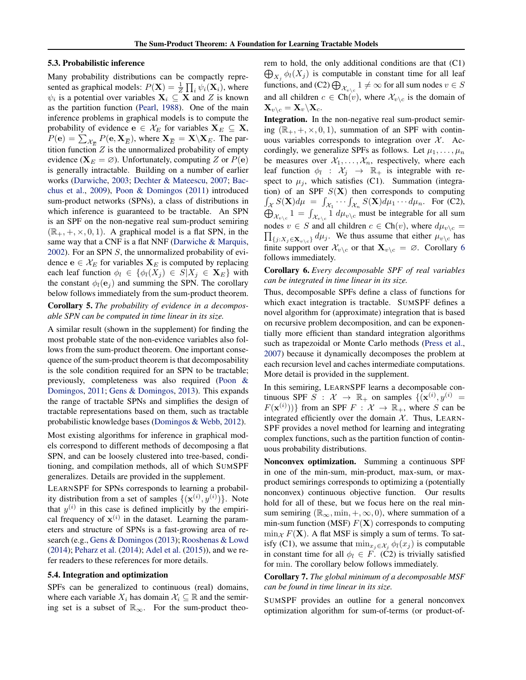#### <span id="page-6-0"></span>5.3. Probabilistic inference

Many probability distributions can be compactly represented as graphical models:  $P(\mathbf{X}) = \frac{1}{Z} \prod_i \psi_i(\mathbf{X}_i)$ , where  $\psi_i$  is a potential over variables  $\mathbf{X}_i \subseteq \mathbf{X}$  and Z is known as the partition function [\(Pearl,](#page-9-0) [1988\)](#page-9-0). One of the main inference problems in graphical models is to compute the probability of evidence  $e \in \mathcal{X}_E$  for variables  $X_E \subseteq X$ ,  $P(\mathbf{e}) = \sum_{\mathcal{X}_{\overline{E}}} P(\mathbf{e}, \mathbf{X}_{\overline{E}})$ , where  $\mathbf{X}_{\overline{E}} = \mathbf{X} \backslash \mathbf{X}_E$ . The partition function  $Z$  is the unnormalized probability of empty evidence ( $X_E = \emptyset$ ). Unfortunately, computing Z or  $P(e)$ is generally intractable. Building on a number of earlier works [\(Darwiche,](#page-8-0) [2003;](#page-8-0) [Dechter & Mateescu,](#page-8-0) [2007;](#page-8-0) [Bac](#page-8-0)[chus et al.,](#page-8-0) [2009\)](#page-8-0), [Poon & Domingos](#page-9-0) [\(2011\)](#page-9-0) introduced sum-product networks (SPNs), a class of distributions in which inference is guaranteed to be tractable. An SPN is an SPF on the non-negative real sum-product semiring  $(\mathbb{R}_+, +, \times, 0, 1)$ . A graphical model is a flat SPN, in the same way that a CNF is a flat NNF [\(Darwiche & Marquis,](#page-8-0) [2002\)](#page-8-0). For an SPN  $S$ , the unnormalized probability of evidence  $e \in \mathcal{X}_E$  for variables  $X_E$  is computed by replacing each leaf function  $\phi_l \in {\phi_l(X_j) \in S|X_j \in \mathbf{X}_E}$  with the constant  $\phi_l(\mathbf{e}_i)$  and summing the SPN. The corollary below follows immediately from the sum-product theorem.

Corollary 5. *The probability of evidence in a decomposable SPN can be computed in time linear in its size.*

A similar result (shown in the supplement) for finding the most probable state of the non-evidence variables also follows from the sum-product theorem. One important consequence of the sum-product theorem is that decomposability is the sole condition required for an SPN to be tractable; previously, completeness was also required [\(Poon &](#page-9-0) [Domingos,](#page-9-0) [2011;](#page-9-0) [Gens & Domingos,](#page-8-0) [2013\)](#page-8-0). This expands the range of tractable SPNs and simplifies the design of tractable representations based on them, such as tractable probabilistic knowledge bases [\(Domingos & Webb,](#page-8-0) [2012\)](#page-8-0).

Most existing algorithms for inference in graphical models correspond to different methods of decomposing a flat SPN, and can be loosely clustered into tree-based, conditioning, and compilation methods, all of which SUMSPF generalizes. Details are provided in the supplement.

LEARNSPF for SPNs corresponds to learning a probability distribution from a set of samples  $\{(\mathbf{x}^{(i)}, y^{(i)})\}$ . Note that  $y^{(i)}$  in this case is defined implicitly by the empirical frequency of  $x^{(i)}$  in the dataset. Learning the parameters and structure of SPNs is a fast-growing area of research (e.g., [Gens & Domingos\(2013\)](#page-8-0); [Rooshenas & Lowd](#page-9-0) [\(2014\)](#page-9-0); [Peharz et al.](#page-9-0) [\(2014\)](#page-9-0); [Adel et al.](#page-8-0) [\(2015\)](#page-8-0)), and we refer readers to these references for more details.

#### 5.4. Integration and optimization

SPFs can be generalized to continuous (real) domains, where each variable  $X_i$  has domain  $\mathcal{X}_i \subseteq \mathbb{R}$  and the semiring set is a subset of  $\mathbb{R}_{\infty}$ . For the sum-product theorem to hold, the only additional conditions are that (C1)  $\bigoplus_{X_j} \phi_l(X_j)$  is computable in constant time for all leaf functions, and (C2)  $\bigoplus_{\mathcal{X}_{v\backslash c}} 1 \neq \infty$  for all sum nodes  $v \in S$ and all children  $c \in \text{Ch}(v)$ , where  $\mathcal{X}_{v \setminus c}$  is the domain of  $\mathbf{X}_{v\setminus c} = \mathbf{X}_v\setminus\mathbf{X}_c.$ 

Integration. In the non-negative real sum-product semiring  $(\mathbb{R}_+, +, \times, 0, 1)$ , summation of an SPF with continuous variables corresponds to integration over  $\mathcal{X}$ . Accordingly, we generalize SPFs as follows. Let  $\mu_1, \ldots, \mu_n$ be measures over  $X_1, \ldots, X_n$ , respectively, where each leaf function  $\phi_l : \mathcal{X}_j \to \mathbb{R}_+$  is integrable with respect to  $\mu_j$ , which satisfies (C1). Summation (integration) of an SPF  $S(X)$  then corresponds to computing  $\int_{\mathcal{X}} S(\mathbf{X}) d\mu = \int_{\mathcal{X}_1} \cdots \int_{\mathcal{X}_n} S(\mathbf{X}) d\mu_1 \cdots d\mu_n$ . For (C2),  $\bigoplus_{\mathcal{X}_{v\setminus c}} 1 = \int_{\mathcal{X}_{v\setminus c}} 1 \ d\mu_{v\setminus c}$  must be integrable for all sum  $\prod_{\{j:X_j\in\mathbf{X}_v\setminus c\}} d\mu_j$ . We thus assume that either  $\mu_{v\setminus c}$  has nodes  $v \in S$  and all children  $c \in \text{Ch}(v)$ , where  $d\mu_{v \setminus c} =$ finite support over  $\mathcal{X}_{v\setminus c}$  or that  $\mathbf{X}_{v\setminus c} = \emptyset$ . Corollary 6 follows immediately.

### Corollary 6. *Every decomposable SPF of real variables can be integrated in time linear in its size.*

Thus, decomposable SPFs define a class of functions for which exact integration is tractable. SUMSPF defines a novel algorithm for (approximate) integration that is based on recursive problem decomposition, and can be exponentially more efficient than standard integration algorithms such as trapezoidal or Monte Carlo methods [\(Press et al.,](#page-9-0) [2007\)](#page-9-0) because it dynamically decomposes the problem at each recursion level and caches intermediate computations. More detail is provided in the supplement.

In this semiring, LEARNSPF learns a decomposable continuous SPF  $S : \mathcal{X} \to \mathbb{R}_+$  on samples  $\{(\mathbf{x}^{(i)}, y^{(i)}) =$  $F(\mathbf{x}^{(i)}))\}$  from an SPF  $F : \mathcal{X} \to \mathbb{R}_+$ , where S can be integrated efficiently over the domain  $X$ . Thus, LEARN-SPF provides a novel method for learning and integrating complex functions, such as the partition function of continuous probability distributions.

Nonconvex optimization. Summing a continuous SPF in one of the min-sum, min-product, max-sum, or maxproduct semirings corresponds to optimizing a (potentially nonconvex) continuous objective function. Our results hold for all of these, but we focus here on the real minsum semiring ( $\mathbb{R}_{\infty}$ , min,  $+$ ,  $\infty$ , 0), where summation of a min-sum function (MSF)  $F(X)$  corresponds to computing  $\min_{\mathcal{X}} F(\mathbf{X})$ . A flat MSF is simply a sum of terms. To satisfy (C1), we assume that  $\min_{x_i \in \mathcal{X}_i} \phi_l(x_j)$  is computable in constant time for all  $\phi_l \in F$ . (C2) is trivially satisfied for min. The corollary below follows immediately.

Corollary 7. *The global minimum of a decomposable MSF can be found in time linear in its size.*

SUMSPF provides an outline for a general nonconvex optimization algorithm for sum-of-terms (or product-of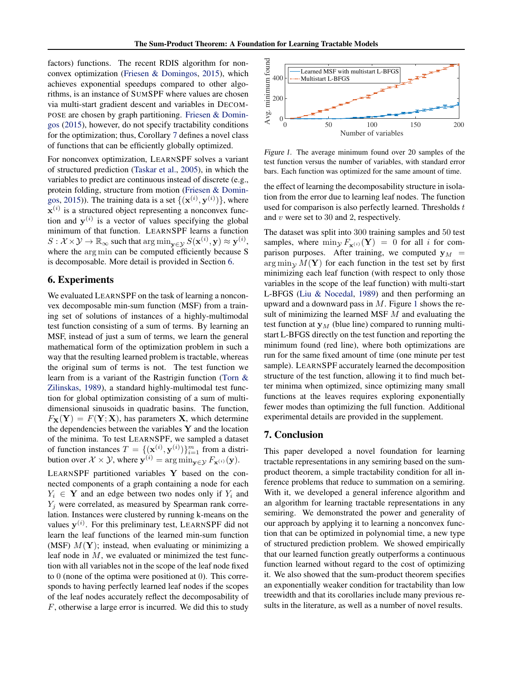<span id="page-7-0"></span>factors) functions. The recent RDIS algorithm for nonconvex optimization [\(Friesen & Domingos,](#page-8-0) [2015\)](#page-8-0), which achieves exponential speedups compared to other algorithms, is an instance of SUMSPF where values are chosen via multi-start gradient descent and variables in DECOM-POSE are chosen by graph partitioning. [Friesen & Domin](#page-8-0)[gos](#page-8-0) [\(2015\)](#page-8-0), however, do not specify tractability conditions for the optimization; thus, Corollary [7](#page-6-0) defines a novel class of functions that can be efficiently globally optimized.

For nonconvex optimization, LEARNSPF solves a variant of structured prediction [\(Taskar et al.,](#page-9-0) [2005\)](#page-9-0), in which the variables to predict are continuous instead of discrete (e.g., protein folding, structure from motion [\(Friesen & Domin](#page-8-0)[gos,](#page-8-0) [2015\)](#page-8-0)). The training data is a set  $\{(\mathbf{x}^{(i)}, \mathbf{y}^{(i)})\}$ , where  $\mathbf{x}^{(i)}$  is a structured object representing a nonconvex function and  $y^{(i)}$  is a vector of values specifying the global minimum of that function. LEARNSPF learns a function  $S: \mathcal{X} \times \mathcal{Y} \to \mathbb{R}_{\infty}$  such that  $\arg \min_{\mathbf{y} \in \mathcal{Y}} S(\mathbf{x}^{(i)}, \mathbf{y}) \approx \mathbf{y}^{(i)}$ , where the arg min can be computed efficiently because S is decomposable. More detail is provided in Section 6.

# 6. Experiments

We evaluated LEARNSPF on the task of learning a nonconvex decomposable min-sum function (MSF) from a training set of solutions of instances of a highly-multimodal test function consisting of a sum of terms. By learning an MSF, instead of just a sum of terms, we learn the general mathematical form of the optimization problem in such a way that the resulting learned problem is tractable, whereas the original sum of terms is not. The test function we learn from is a variant of the Rastrigin function [\(Torn &](#page-9-0) [Zilinskas,](#page-9-0) [1989\)](#page-9-0), a standard highly-multimodal test function for global optimization consisting of a sum of multidimensional sinusoids in quadratic basins. The function,  $F_{\mathbf{X}}(\mathbf{Y}) = F(\mathbf{Y}; \mathbf{X})$ , has parameters **X**, which determine the dependencies between the variables  $Y$  and the location of the minima. To test LEARNSPF, we sampled a dataset of function instances  $T = \{(\mathbf{x}^{(i)}, \mathbf{y}^{(i)})\}_{i=1}^m$  from a distribution over  $\mathcal{X} \times \mathcal{Y}$ , where  $\mathbf{y}^{(i)} = \arg \min_{\mathbf{y} \in \mathcal{Y}} F_{\mathbf{x}^{(i)}}(\mathbf{y})$ .

LEARNSPF partitioned variables Y based on the connected components of a graph containing a node for each  $Y_i \in \mathbf{Y}$  and an edge between two nodes only if  $Y_i$  and  $Y_i$  were correlated, as measured by Spearman rank correlation. Instances were clustered by running k-means on the values  $y^{(i)}$ . For this preliminary test, LEARNSPF did not learn the leaf functions of the learned min-sum function (MSF)  $M(Y)$ ; instead, when evaluating or minimizing a leaf node in  $M$ , we evaluated or minimized the test function with all variables not in the scope of the leaf node fixed to 0 (none of the optima were positioned at 0). This corresponds to having perfectly learned leaf nodes if the scopes of the leaf nodes accurately reflect the decomposability of F, otherwise a large error is incurred. We did this to study



Figure 1. The average minimum found over 20 samples of the test function versus the number of variables, with standard error bars. Each function was optimized for the same amount of time.

the effect of learning the decomposability structure in isolation from the error due to learning leaf nodes. The function used for comparison is also perfectly learned. Thresholds  $t$ and v were set to 30 and 2, respectively.

The dataset was split into 300 training samples and 50 test samples, where  $\min_{\mathbf{y}} F_{\mathbf{x}^{(i)}}(\mathbf{Y}) = 0$  for all i for comparison purposes. After training, we computed  $y_M$  =  $\arg \min_{\mathbf{V}} M(\mathbf{Y})$  for each function in the test set by first minimizing each leaf function (with respect to only those variables in the scope of the leaf function) with multi-start L-BFGS [\(Liu & Nocedal,](#page-9-0) [1989\)](#page-9-0) and then performing an upward and a downward pass in  $M$ . Figure 1 shows the result of minimizing the learned MSF  $M$  and evaluating the test function at  $y_M$  (blue line) compared to running multistart L-BFGS directly on the test function and reporting the minimum found (red line), where both optimizations are run for the same fixed amount of time (one minute per test sample). LEARNSPF accurately learned the decomposition structure of the test function, allowing it to find much better minima when optimized, since optimizing many small functions at the leaves requires exploring exponentially fewer modes than optimizing the full function. Additional experimental details are provided in the supplement.

### 7. Conclusion

This paper developed a novel foundation for learning tractable representations in any semiring based on the sumproduct theorem, a simple tractability condition for all inference problems that reduce to summation on a semiring. With it, we developed a general inference algorithm and an algorithm for learning tractable representations in any semiring. We demonstrated the power and generality of our approach by applying it to learning a nonconvex function that can be optimized in polynomial time, a new type of structured prediction problem. We showed empirically that our learned function greatly outperforms a continuous function learned without regard to the cost of optimizing it. We also showed that the sum-product theorem specifies an exponentially weaker condition for tractability than low treewidth and that its corollaries include many previous results in the literature, as well as a number of novel results.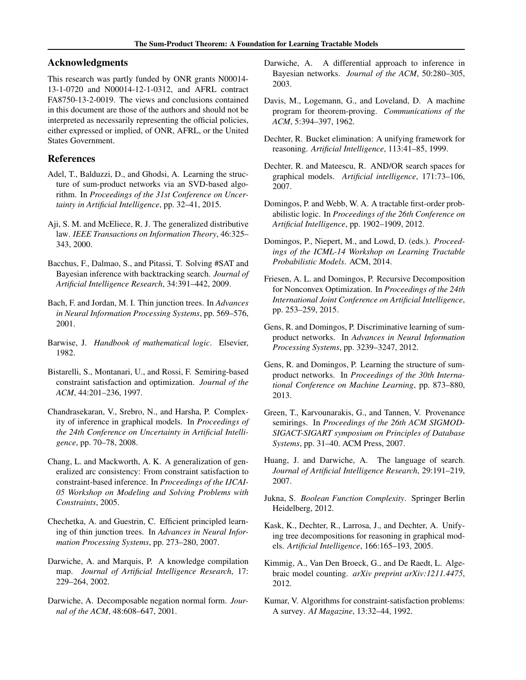# <span id="page-8-0"></span>Acknowledgments

This research was partly funded by ONR grants N00014- 13-1-0720 and N00014-12-1-0312, and AFRL contract FA8750-13-2-0019. The views and conclusions contained in this document are those of the authors and should not be interpreted as necessarily representing the official policies, either expressed or implied, of ONR, AFRL, or the United States Government.

# References

- Adel, T., Balduzzi, D., and Ghodsi, A. Learning the structure of sum-product networks via an SVD-based algorithm. In *Proceedings of the 31st Conference on Uncertainty in Artificial Intelligence*, pp. 32–41, 2015.
- Aji, S. M. and McEliece, R. J. The generalized distributive law. *IEEE Transactions on Information Theory*, 46:325– 343, 2000.
- Bacchus, F., Dalmao, S., and Pitassi, T. Solving #SAT and Bayesian inference with backtracking search. *Journal of Artificial Intelligence Research*, 34:391–442, 2009.
- Bach, F. and Jordan, M. I. Thin junction trees. In *Advances in Neural Information Processing Systems*, pp. 569–576, 2001.
- Barwise, J. *Handbook of mathematical logic*. Elsevier, 1982.
- Bistarelli, S., Montanari, U., and Rossi, F. Semiring-based constraint satisfaction and optimization. *Journal of the ACM*, 44:201–236, 1997.
- Chandrasekaran, V., Srebro, N., and Harsha, P. Complexity of inference in graphical models. In *Proceedings of the 24th Conference on Uncertainty in Artificial Intelligence*, pp. 70–78, 2008.
- Chang, L. and Mackworth, A. K. A generalization of generalized arc consistency: From constraint satisfaction to constraint-based inference. In *Proceedings of the IJCAI-05 Workshop on Modeling and Solving Problems with Constraints*, 2005.
- Chechetka, A. and Guestrin, C. Efficient principled learning of thin junction trees. In *Advances in Neural Information Processing Systems*, pp. 273–280, 2007.
- Darwiche, A. and Marquis, P. A knowledge compilation map. *Journal of Artificial Intelligence Research*, 17: 229–264, 2002.
- Darwiche, A. Decomposable negation normal form. *Journal of the ACM*, 48:608–647, 2001.
- Darwiche, A. A differential approach to inference in Bayesian networks. *Journal of the ACM*, 50:280–305, 2003.
- Davis, M., Logemann, G., and Loveland, D. A machine program for theorem-proving. *Communications of the ACM*, 5:394–397, 1962.
- Dechter, R. Bucket elimination: A unifying framework for reasoning. *Artificial Intelligence*, 113:41–85, 1999.
- Dechter, R. and Mateescu, R. AND/OR search spaces for graphical models. *Artificial intelligence*, 171:73–106, 2007.
- Domingos, P. and Webb, W. A. A tractable first-order probabilistic logic. In *Proceedings of the 26th Conference on Artificial Intelligence*, pp. 1902–1909, 2012.
- Domingos, P., Niepert, M., and Lowd, D. (eds.). *Proceedings of the ICML-14 Workshop on Learning Tractable Probabilistic Models*. ACM, 2014.
- Friesen, A. L. and Domingos, P. Recursive Decomposition for Nonconvex Optimization. In *Proceedings of the 24th International Joint Conference on Artificial Intelligence*, pp. 253–259, 2015.
- Gens, R. and Domingos, P. Discriminative learning of sumproduct networks. In *Advances in Neural Information Processing Systems*, pp. 3239–3247, 2012.
- Gens, R. and Domingos, P. Learning the structure of sumproduct networks. In *Proceedings of the 30th International Conference on Machine Learning*, pp. 873–880, 2013.
- Green, T., Karvounarakis, G., and Tannen, V. Provenance semirings. In *Proceedings of the 26th ACM SIGMOD-SIGACT-SIGART symposium on Principles of Database Systems*, pp. 31–40. ACM Press, 2007.
- Huang, J. and Darwiche, A. The language of search. *Journal of Artificial Intelligence Research*, 29:191–219, 2007.
- Jukna, S. *Boolean Function Complexity*. Springer Berlin Heidelberg, 2012.
- Kask, K., Dechter, R., Larrosa, J., and Dechter, A. Unifying tree decompositions for reasoning in graphical models. *Artificial Intelligence*, 166:165–193, 2005.
- Kimmig, A., Van Den Broeck, G., and De Raedt, L. Algebraic model counting. *arXiv preprint arXiv:1211.4475*, 2012.
- Kumar, V. Algorithms for constraint-satisfaction problems: A survey. *AI Magazine*, 13:32–44, 1992.